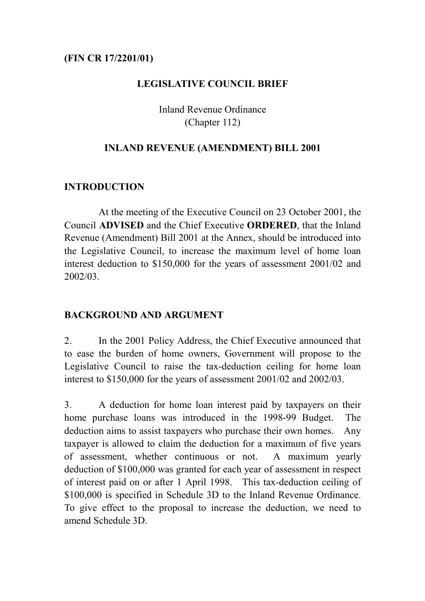#### **(FIN CR 17/2201/01)**

#### **LEGISLATIVE COUNCIL BRIEF**

Inland Revenue Ordinance (Chapter 112)

#### **INLAND REVENUE (AMENDMENT) BILL 2001**

# **INTRODUCTION**

At the meeting of the Executive Council on 23 October 2001, the Council **ADVISED** and the Chief Executive **ORDERED**, that the Inland Revenue (Amendment) Bill 2001 at the Annex, should be introduced into the Legislative Council, to increase the maximum level of home loan interest deduction to \$150,000 for the years of assessment 2001/02 and 2002/03.

# **BACKGROUND AND ARGUMENT**

2. In the 2001 Policy Address, the Chief Executive announced that to ease the burden of home owners, Government will propose to the Legislative Council to raise the tax-deduction ceiling for home loan interest to \$150,000 for the years of assessment 2001/02 and 2002/03.

3. A deduction for home loan interest paid by taxpayers on their home purchase loans was introduced in the 1998-99 Budget. The deduction aims to assist taxpayers who purchase their own homes. Any taxpayer is allowed to claim the deduction for a maximum of five years of assessment, whether continuous or not. A maximum yearly deduction of \$100,000 was granted for each year of assessment in respect of interest paid on or after 1 April 1998. This tax-deduction ceiling of \$100,000 is specified in Schedule 3D to the Inland Revenue Ordinance. To give effect to the proposal to increase the deduction, we need to amend Schedule 3D.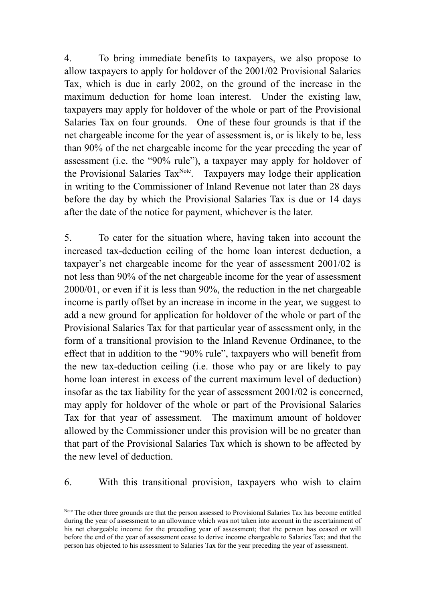4. To bring immediate benefits to taxpayers, we also propose to allow taxpayers to apply for holdover of the 2001/02 Provisional Salaries Tax, which is due in early 2002, on the ground of the increase in the maximum deduction for home loan interest. Under the existing law, taxpayers may apply for holdover of the whole or part of the Provisional Salaries Tax on four grounds. One of these four grounds is that if the net chargeable income for the year of assessment is, or is likely to be, less than 90% of the net chargeable income for the year preceding the year of assessment (i.e. the "90% rule"), a taxpayer may apply for holdover of the Provisional Salaries Tax<sup>Note</sup>. Taxpayers may lodge their application in writing to the Commissioner of Inland Revenue not later than 28 days before the day by which the Provisional Salaries Tax is due or 14 days after the date of the notice for payment, whichever is the later.

5. To cater for the situation where, having taken into account the increased tax-deduction ceiling of the home loan interest deduction, a taxpayer's net chargeable income for the year of assessment 2001/02 is not less than 90% of the net chargeable income for the year of assessment 2000/01, or even if it is less than 90%, the reduction in the net chargeable income is partly offset by an increase in income in the year, we suggest to add a new ground for application for holdover of the whole or part of the Provisional Salaries Tax for that particular year of assessment only, in the form of a transitional provision to the Inland Revenue Ordinance, to the effect that in addition to the "90% rule", taxpayers who will benefit from the new tax-deduction ceiling (i.e. those who pay or are likely to pay home loan interest in excess of the current maximum level of deduction) insofar as the tax liability for the year of assessment 2001/02 is concerned, may apply for holdover of the whole or part of the Provisional Salaries Tax for that year of assessment. The maximum amount of holdover allowed by the Commissioner under this provision will be no greater than that part of the Provisional Salaries Tax which is shown to be affected by the new level of deduction.

6. With this transitional provision, taxpayers who wish to claim

 $\overline{a}$ 

Note The other three grounds are that the person assessed to Provisional Salaries Tax has become entitled during the year of assessment to an allowance which was not taken into account in the ascertainment of his net chargeable income for the preceding year of assessment; that the person has ceased or will before the end of the year of assessment cease to derive income chargeable to Salaries Tax; and that the person has objected to his assessment to Salaries Tax for the year preceding the year of assessment.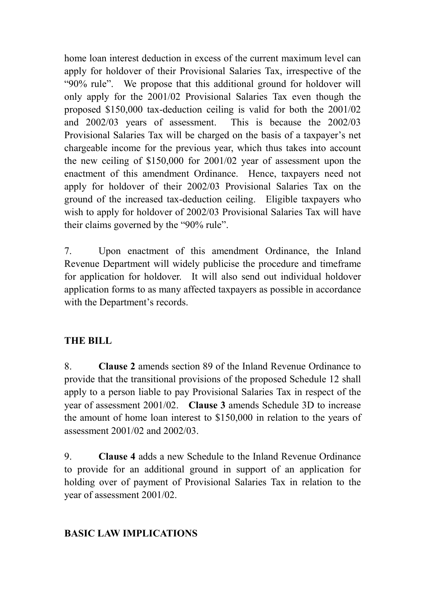home loan interest deduction in excess of the current maximum level can apply for holdover of their Provisional Salaries Tax, irrespective of the "90% rule". We propose that this additional ground for holdover will only apply for the 2001/02 Provisional Salaries Tax even though the proposed \$150,000 tax-deduction ceiling is valid for both the 2001/02 and 2002/03 years of assessment. This is because the 2002/03 Provisional Salaries Tax will be charged on the basis of a taxpayer's net chargeable income for the previous year, which thus takes into account the new ceiling of \$150,000 for 2001/02 year of assessment upon the enactment of this amendment Ordinance. Hence, taxpayers need not apply for holdover of their 2002/03 Provisional Salaries Tax on the ground of the increased tax-deduction ceiling. Eligible taxpayers who wish to apply for holdover of 2002/03 Provisional Salaries Tax will have their claims governed by the "90% rule".

7. Upon enactment of this amendment Ordinance, the Inland Revenue Department will widely publicise the procedure and timeframe for application for holdover. It will also send out individual holdover application forms to as many affected taxpayers as possible in accordance with the Department's records.

# **THE BILL**

8. **Clause 2** amends section 89 of the Inland Revenue Ordinance to provide that the transitional provisions of the proposed Schedule 12 shall apply to a person liable to pay Provisional Salaries Tax in respect of the year of assessment 2001/02. **Clause 3** amends Schedule 3D to increase the amount of home loan interest to \$150,000 in relation to the years of assessment 2001/02 and 2002/03.

9. **Clause 4** adds a new Schedule to the Inland Revenue Ordinance to provide for an additional ground in support of an application for holding over of payment of Provisional Salaries Tax in relation to the year of assessment 2001/02.

# **BASIC LAW IMPLICATIONS**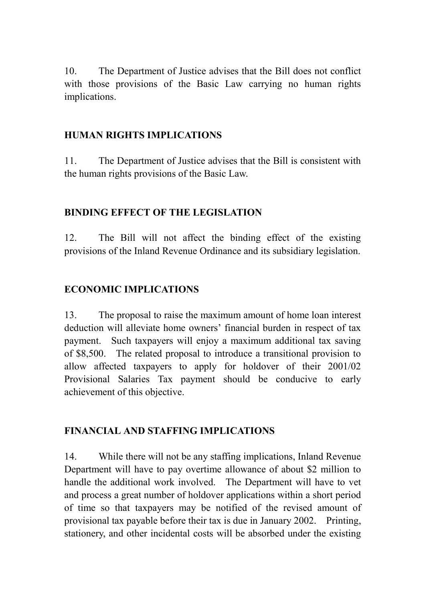10. The Department of Justice advises that the Bill does not conflict with those provisions of the Basic Law carrying no human rights implications.

# **HUMAN RIGHTS IMPLICATIONS**

11. The Department of Justice advises that the Bill is consistent with the human rights provisions of the Basic Law.

#### **BINDING EFFECT OF THE LEGISLATION**

12. The Bill will not affect the binding effect of the existing provisions of the Inland Revenue Ordinance and its subsidiary legislation.

# **ECONOMIC IMPLICATIONS**

13. The proposal to raise the maximum amount of home loan interest deduction will alleviate home owners' financial burden in respect of tax payment. Such taxpayers will enjoy a maximum additional tax saving of \$8,500. The related proposal to introduce a transitional provision to allow affected taxpayers to apply for holdover of their 2001/02 Provisional Salaries Tax payment should be conducive to early achievement of this objective.

# **FINANCIAL AND STAFFING IMPLICATIONS**

14. While there will not be any staffing implications, Inland Revenue Department will have to pay overtime allowance of about \$2 million to handle the additional work involved. The Department will have to vet and process a great number of holdover applications within a short period of time so that taxpayers may be notified of the revised amount of provisional tax payable before their tax is due in January 2002. Printing, stationery, and other incidental costs will be absorbed under the existing